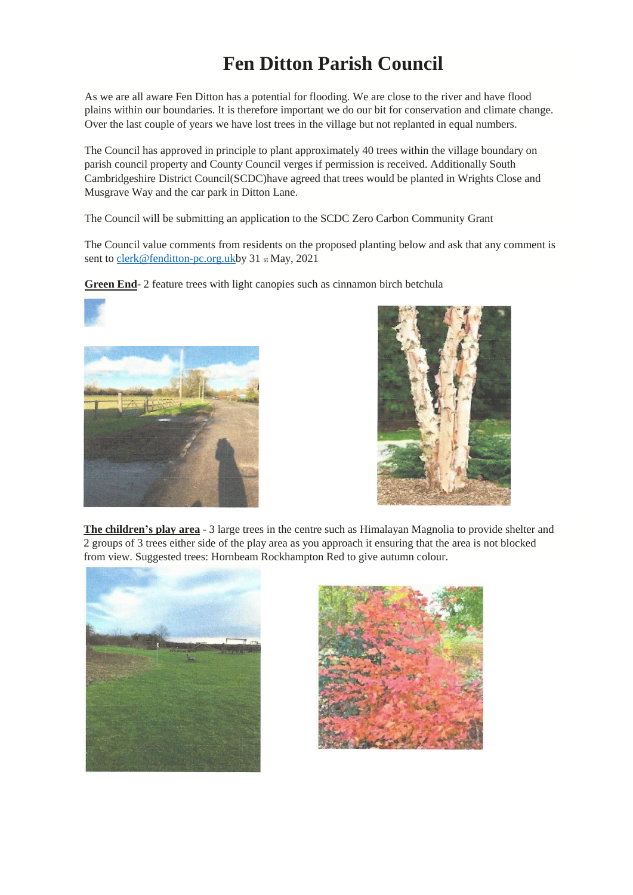## **Fen Ditton Parish Council**

As we are all aware Fen Ditton has a potential for flooding. We are close to the river and have flood plains within our boundaries. It is therefore important we do our bit for conservation and climate change. Over the last couple of years we have lost trees in the village but not replanted in equal numbers.

The Council has approved in principle to plant approximately 40 trees within the village boundary on parish council property and County Council verges if permission is received. Additionally South Cambridgeshire District Council(SCDC)have agreed that trees would be planted in Wrights Close and Musgrave Way and the car park in Ditton Lane.

The Council will be submitting an application to the SCDC Zero Carbon Community Grant

The Council value comments from residents on the proposed planting below and ask that any comment is sent t[o clerk@fenditton-pc.org.ukb](mailto:clerk@fenditton-pc.org.uk)y 31 st May, 2021

**Green End**- 2 feature trees with light canopies such as cinnamon birch betchula







**The children's play area** - 3 large trees in the centre such as Himalayan Magnolia to provide shelter and 2 groups of 3 trees either side of the play area as you approach it ensuring that the area is not blocked from view. Suggested trees: Hornbeam Rockhampton Red to give autumn colour.



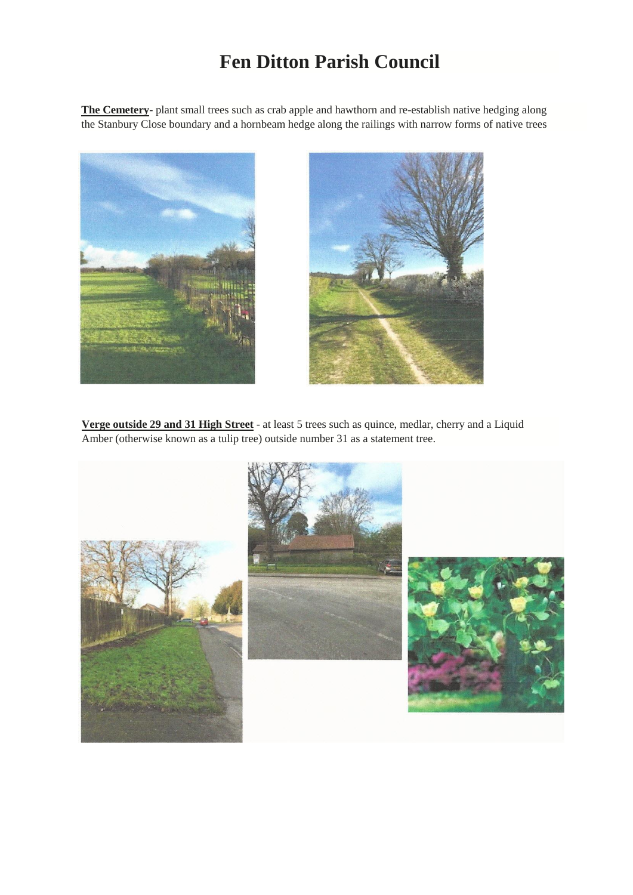## **Fen Ditton Parish Council**

**The Cemetery**- plant small trees such as crab apple and hawthorn and re-establish native hedging along the Stanbury Close boundary and a hornbeam hedge along the railings with narrow forms of native trees





**Verge outside 29 and 31 High Street** - at least 5 trees such as quince, medlar, cherry and a Liquid Amber (otherwise known as a tulip tree) outside number 31 as a statement tree.